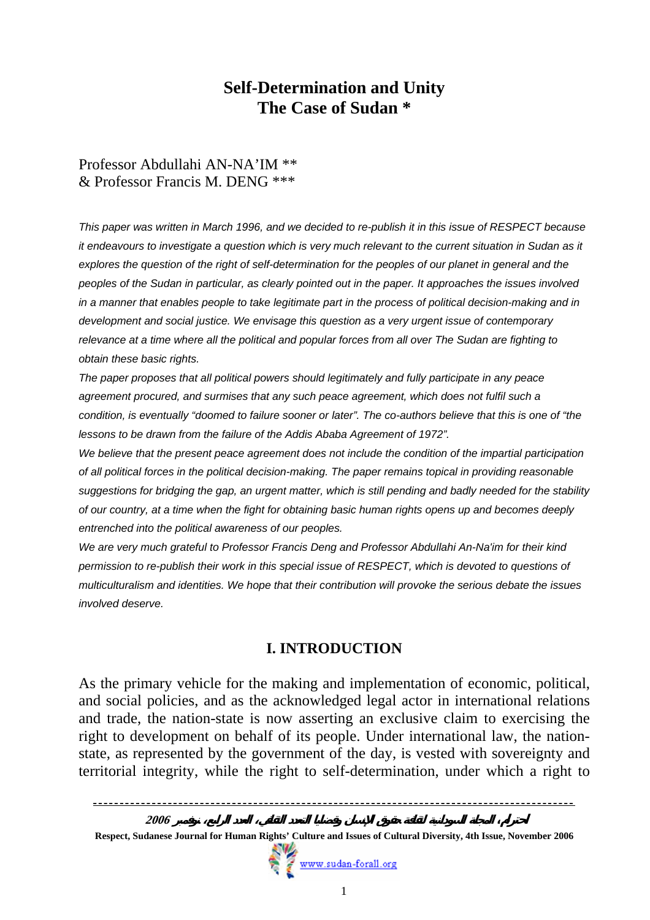# **Self-Determination and Unity The Case of Sudan \***

#### Professor Abdullahi AN-NA'IM \*\* & Professor Francis M. DENG \*\*\*

*This paper was written in March 1996, and we decided to re-publish it in this issue of RESPECT because it endeavours to investigate a question which is very much relevant to the current situation in Sudan as it explores the question of the right of self-determination for the peoples of our planet in general and the peoples of the Sudan in particular, as clearly pointed out in the paper. It approaches the issues involved in a manner that enables people to take legitimate part in the process of political decision-making and in development and social justice. We envisage this question as a very urgent issue of contemporary relevance at a time where all the political and popular forces from all over The Sudan are fighting to obtain these basic rights.* 

*The paper proposes that all political powers should legitimately and fully participate in any peace agreement procured, and surmises that any such peace agreement, which does not fulfil such a condition, is eventually "doomed to failure sooner or later". The co-authors believe that this is one of "the lessons to be drawn from the failure of the Addis Ababa Agreement of 1972".* 

*We believe that the present peace agreement does not include the condition of the impartial participation of all political forces in the political decision-making. The paper remains topical in providing reasonable suggestions for bridging the gap, an urgent matter, which is still pending and badly needed for the stability of our country, at a time when the fight for obtaining basic human rights opens up and becomes deeply entrenched into the political awareness of our peoples.* 

*We are very much grateful to Professor Francis Deng and Professor Abdullahi An-Na'im for their kind permission to re-publish their work in this special issue of RESPECT, which is devoted to questions of multiculturalism and identities. We hope that their contribution will provoke the serious debate the issues involved deserve.* 

# **I. INTRODUCTION**

As the primary vehicle for the making and implementation of economic, political, and social policies, and as the acknowledged legal actor in international relations and trade, the nation-state is now asserting an exclusive claim to exercising the right to development on behalf of its people. Under international law, the nationstate, as represented by the government of the day, is vested with sovereignty and territorial integrity, while the right to self-determination, under which a right to

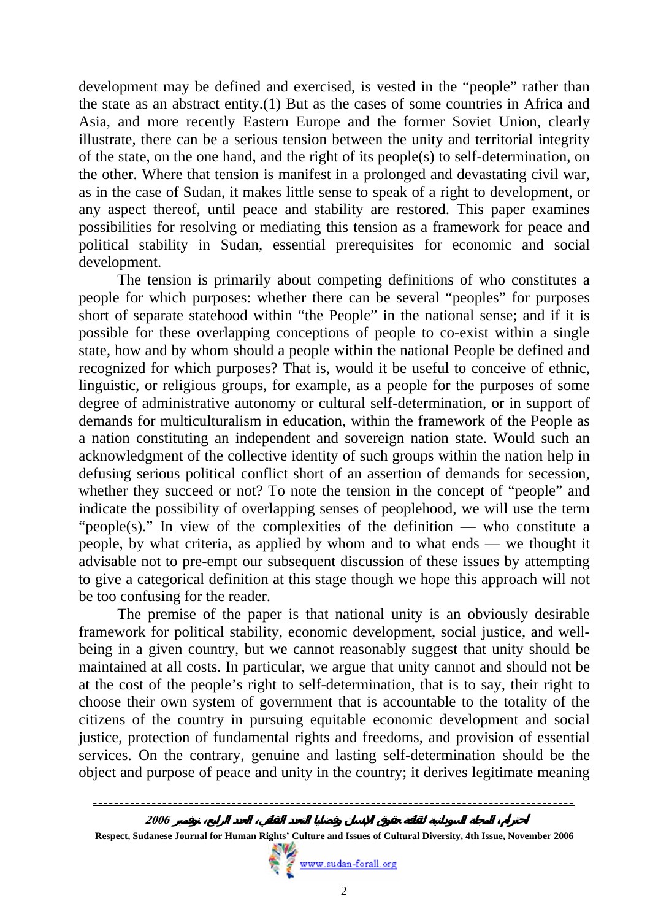development may be defined and exercised, is vested in the "people" rather than the state as an abstract entity.(1) But as the cases of some countries in Africa and Asia, and more recently Eastern Europe and the former Soviet Union, clearly illustrate, there can be a serious tension between the unity and territorial integrity of the state, on the one hand, and the right of its people(s) to self-determination, on the other. Where that tension is manifest in a prolonged and devastating civil war, as in the case of Sudan, it makes little sense to speak of a right to development, or any aspect thereof, until peace and stability are restored. This paper examines possibilities for resolving or mediating this tension as a framework for peace and political stability in Sudan, essential prerequisites for economic and social development.

The tension is primarily about competing definitions of who constitutes a people for which purposes: whether there can be several "peoples" for purposes short of separate statehood within "the People" in the national sense; and if it is possible for these overlapping conceptions of people to co-exist within a single state, how and by whom should a people within the national People be defined and recognized for which purposes? That is, would it be useful to conceive of ethnic, linguistic, or religious groups, for example, as a people for the purposes of some degree of administrative autonomy or cultural self-determination, or in support of demands for multiculturalism in education, within the framework of the People as a nation constituting an independent and sovereign nation state. Would such an acknowledgment of the collective identity of such groups within the nation help in defusing serious political conflict short of an assertion of demands for secession, whether they succeed or not? To note the tension in the concept of "people" and indicate the possibility of overlapping senses of peoplehood, we will use the term "people(s)." In view of the complexities of the definition — who constitute a people, by what criteria, as applied by whom and to what ends — we thought it advisable not to pre-empt our subsequent discussion of these issues by attempting to give a categorical definition at this stage though we hope this approach will not be too confusing for the reader.

The premise of the paper is that national unity is an obviously desirable framework for political stability, economic development, social justice, and wellbeing in a given country, but we cannot reasonably suggest that unity should be maintained at all costs. In particular, we argue that unity cannot and should not be at the cost of the people's right to self-determination, that is to say, their right to choose their own system of government that is accountable to the totality of the citizens of the country in pursuing equitable economic development and social justice, protection of fundamental rights and freedoms, and provision of essential services. On the contrary, genuine and lasting self-determination should be the object and purpose of peace and unity in the country; it derives legitimate meaning

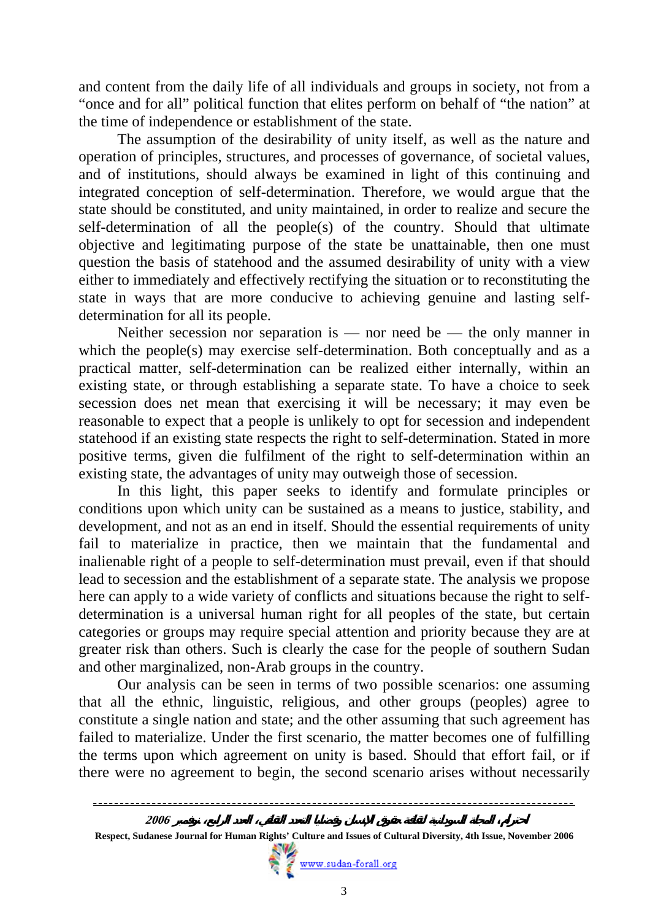and content from the daily life of all individuals and groups in society, not from a "once and for all" political function that elites perform on behalf of "the nation" at the time of independence or establishment of the state.

The assumption of the desirability of unity itself, as well as the nature and operation of principles, structures, and processes of governance, of societal values, and of institutions, should always be examined in light of this continuing and integrated conception of self-determination. Therefore, we would argue that the state should be constituted, and unity maintained, in order to realize and secure the self-determination of all the people(s) of the country. Should that ultimate objective and legitimating purpose of the state be unattainable, then one must question the basis of statehood and the assumed desirability of unity with a view either to immediately and effectively rectifying the situation or to reconstituting the state in ways that are more conducive to achieving genuine and lasting selfdetermination for all its people.

Neither secession nor separation is — nor need be — the only manner in which the people(s) may exercise self-determination. Both conceptually and as a practical matter, self-determination can be realized either internally, within an existing state, or through establishing a separate state. To have a choice to seek secession does net mean that exercising it will be necessary; it may even be reasonable to expect that a people is unlikely to opt for secession and independent statehood if an existing state respects the right to self-determination. Stated in more positive terms, given die fulfilment of the right to self-determination within an existing state, the advantages of unity may outweigh those of secession.

In this light, this paper seeks to identify and formulate principles or conditions upon which unity can be sustained as a means to justice, stability, and development, and not as an end in itself. Should the essential requirements of unity fail to materialize in practice, then we maintain that the fundamental and inalienable right of a people to self-determination must prevail, even if that should lead to secession and the establishment of a separate state. The analysis we propose here can apply to a wide variety of conflicts and situations because the right to selfdetermination is a universal human right for all peoples of the state, but certain categories or groups may require special attention and priority because they are at greater risk than others. Such is clearly the case for the people of southern Sudan and other marginalized, non-Arab groups in the country.

Our analysis can be seen in terms of two possible scenarios: one assuming that all the ethnic, linguistic, religious, and other groups (peoples) agree to constitute a single nation and state; and the other assuming that such agreement has failed to materialize. Under the first scenario, the matter becomes one of fulfilling the terms upon which agreement on unity is based. Should that effort fail, or if there were no agreement to begin, the second scenario arises without necessarily

 **Respect, Sudanese Journal for Human Rights' Culture and Issues of Cultural Diversity, 4th Issue, November 2006**

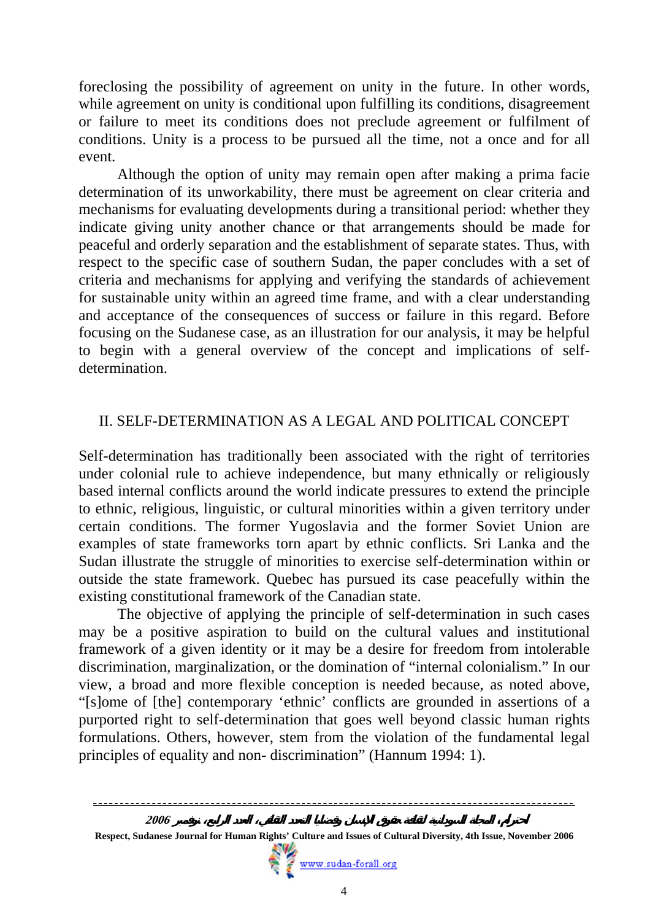foreclosing the possibility of agreement on unity in the future. In other words, while agreement on unity is conditional upon fulfilling its conditions, disagreement or failure to meet its conditions does not preclude agreement or fulfilment of conditions. Unity is a process to be pursued all the time, not a once and for all event.

Although the option of unity may remain open after making a prima facie determination of its unworkability, there must be agreement on clear criteria and mechanisms for evaluating developments during a transitional period: whether they indicate giving unity another chance or that arrangements should be made for peaceful and orderly separation and the establishment of separate states. Thus, with respect to the specific case of southern Sudan, the paper concludes with a set of criteria and mechanisms for applying and verifying the standards of achievement for sustainable unity within an agreed time frame, and with a clear understanding and acceptance of the consequences of success or failure in this regard. Before focusing on the Sudanese case, as an illustration for our analysis, it may be helpful to begin with a general overview of the concept and implications of selfdetermination.

### II. SELF-DETERMINATION AS A LEGAL AND POLITICAL CONCEPT

Self-determination has traditionally been associated with the right of territories under colonial rule to achieve independence, but many ethnically or religiously based internal conflicts around the world indicate pressures to extend the principle to ethnic, religious, linguistic, or cultural minorities within a given territory under certain conditions. The former Yugoslavia and the former Soviet Union are examples of state frameworks torn apart by ethnic conflicts. Sri Lanka and the Sudan illustrate the struggle of minorities to exercise self-determination within or outside the state framework. Quebec has pursued its case peacefully within the existing constitutional framework of the Canadian state.

The objective of applying the principle of self-determination in such cases may be a positive aspiration to build on the cultural values and institutional framework of a given identity or it may be a desire for freedom from intolerable discrimination, marginalization, or the domination of "internal colonialism." In our view, a broad and more flexible conception is needed because, as noted above, "[s]ome of [the] contemporary 'ethnic' conflicts are grounded in assertions of a purported right to self-determination that goes well beyond classic human rights formulations. Others, however, stem from the violation of the fundamental legal principles of equality and non- discrimination" (Hannum 1994: 1).



**Respect, Sudanese Journal for Human Rights' Culture and Issues of Cultural Diversity, 4th Issue, November 2006**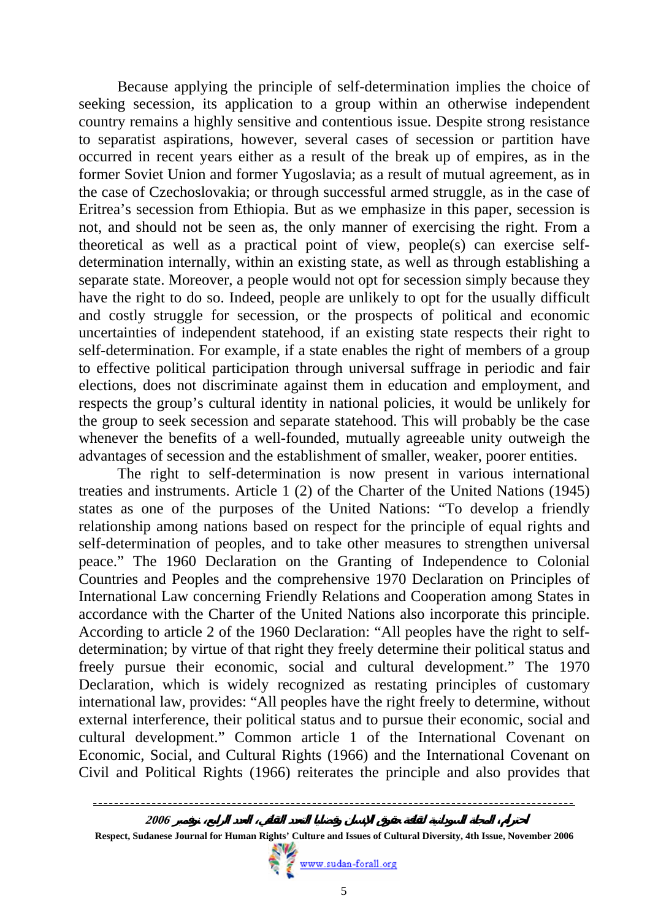Because applying the principle of self-determination implies the choice of seeking secession, its application to a group within an otherwise independent country remains a highly sensitive and contentious issue. Despite strong resistance to separatist aspirations, however, several cases of secession or partition have occurred in recent years either as a result of the break up of empires, as in the former Soviet Union and former Yugoslavia; as a result of mutual agreement, as in the case of Czechoslovakia; or through successful armed struggle, as in the case of Eritrea's secession from Ethiopia. But as we emphasize in this paper, secession is not, and should not be seen as, the only manner of exercising the right. From a theoretical as well as a practical point of view, people(s) can exercise selfdetermination internally, within an existing state, as well as through establishing a separate state. Moreover, a people would not opt for secession simply because they have the right to do so. Indeed, people are unlikely to opt for the usually difficult and costly struggle for secession, or the prospects of political and economic uncertainties of independent statehood, if an existing state respects their right to self-determination. For example, if a state enables the right of members of a group to effective political participation through universal suffrage in periodic and fair elections, does not discriminate against them in education and employment, and respects the group's cultural identity in national policies, it would be unlikely for the group to seek secession and separate statehood. This will probably be the case whenever the benefits of a well-founded, mutually agreeable unity outweigh the advantages of secession and the establishment of smaller, weaker, poorer entities.

The right to self-determination is now present in various international treaties and instruments. Article 1 (2) of the Charter of the United Nations (1945) states as one of the purposes of the United Nations: "To develop a friendly relationship among nations based on respect for the principle of equal rights and self-determination of peoples, and to take other measures to strengthen universal peace." The 1960 Declaration on the Granting of Independence to Colonial Countries and Peoples and the comprehensive 1970 Declaration on Principles of International Law concerning Friendly Relations and Cooperation among States in accordance with the Charter of the United Nations also incorporate this principle. According to article 2 of the 1960 Declaration: "All peoples have the right to selfdetermination; by virtue of that right they freely determine their political status and freely pursue their economic, social and cultural development." The 1970 Declaration, which is widely recognized as restating principles of customary international law, provides: "All peoples have the right freely to determine, without external interference, their political status and to pursue their economic, social and cultural development." Common article 1 of the International Covenant on Economic, Social, and Cultural Rights (1966) and the International Covenant on Civil and Political Rights (1966) reiterates the principle and also provides that



**Respect, Sudanese Journal for Human Rights' Culture and Issues of Cultural Diversity, 4th Issue, November 2006**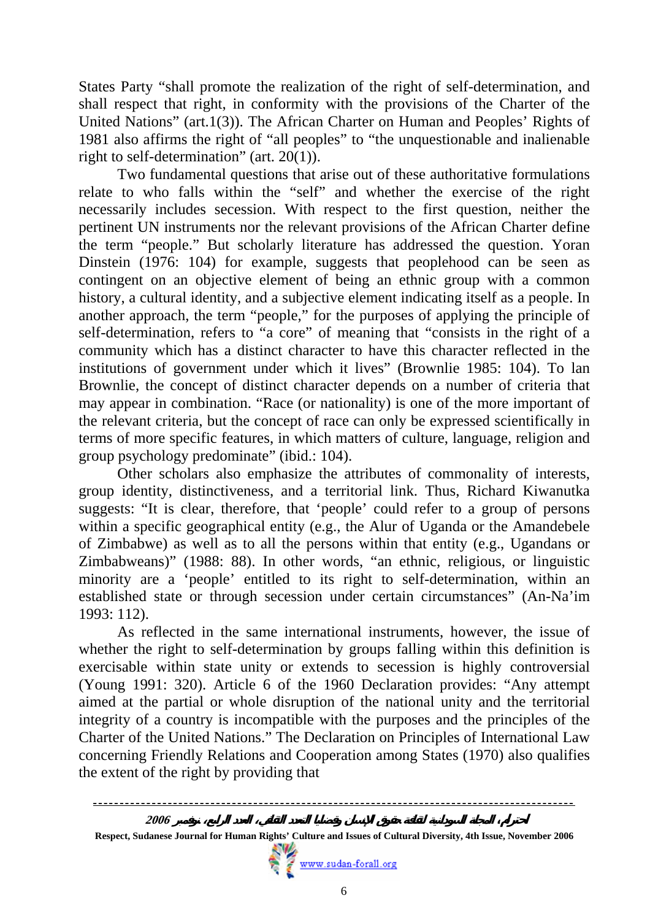States Party "shall promote the realization of the right of self-determination, and shall respect that right, in conformity with the provisions of the Charter of the United Nations" (art.1(3)). The African Charter on Human and Peoples' Rights of 1981 also affirms the right of "all peoples" to "the unquestionable and inalienable right to self-determination" (art. 20(1)).

Two fundamental questions that arise out of these authoritative formulations relate to who falls within the "self" and whether the exercise of the right necessarily includes secession. With respect to the first question, neither the pertinent UN instruments nor the relevant provisions of the African Charter define the term "people." But scholarly literature has addressed the question. Yoran Dinstein (1976: 104) for example, suggests that peoplehood can be seen as contingent on an objective element of being an ethnic group with a common history, a cultural identity, and a subjective element indicating itself as a people. In another approach, the term "people," for the purposes of applying the principle of self-determination, refers to "a core" of meaning that "consists in the right of a community which has a distinct character to have this character reflected in the institutions of government under which it lives" (Brownlie 1985: 104). To lan Brownlie, the concept of distinct character depends on a number of criteria that may appear in combination. "Race (or nationality) is one of the more important of the relevant criteria, but the concept of race can only be expressed scientifically in terms of more specific features, in which matters of culture, language, religion and group psychology predominate" (ibid.: 104).

Other scholars also emphasize the attributes of commonality of interests, group identity, distinctiveness, and a territorial link. Thus, Richard Kiwanutka suggests: "It is clear, therefore, that 'people' could refer to a group of persons within a specific geographical entity (e.g., the Alur of Uganda or the Amandebele of Zimbabwe) as well as to all the persons within that entity (e.g., Ugandans or Zimbabweans)" (1988: 88). In other words, "an ethnic, religious, or linguistic minority are a 'people' entitled to its right to self-determination, within an established state or through secession under certain circumstances" (An-Na'im 1993: 112).

As reflected in the same international instruments, however, the issue of whether the right to self-determination by groups falling within this definition is exercisable within state unity or extends to secession is highly controversial (Young 1991: 320). Article 6 of the 1960 Declaration provides: "Any attempt aimed at the partial or whole disruption of the national unity and the territorial integrity of a country is incompatible with the purposes and the principles of the Charter of the United Nations." The Declaration on Principles of International Law concerning Friendly Relations and Cooperation among States (1970) also qualifies the extent of the right by providing that



**Respect, Sudanese Journal for Human Rights' Culture and Issues of Cultural Diversity, 4th Issue, November 2006**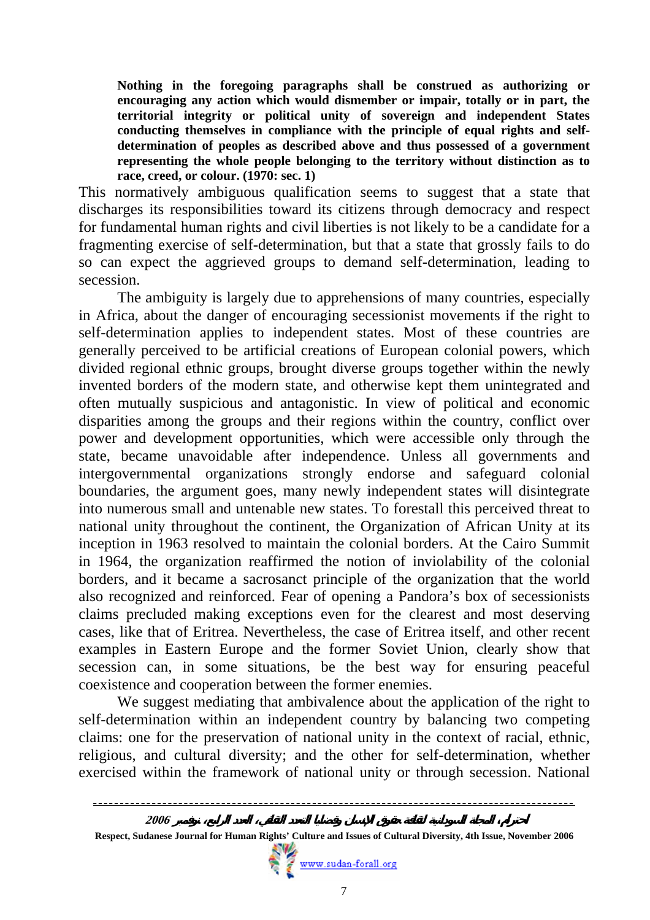**Nothing in the foregoing paragraphs shall be construed as authorizing or encouraging any action which would dismember or impair, totally or in part, the territorial integrity or political unity of sovereign and independent States conducting themselves in compliance with the principle of equal rights and selfdetermination of peoples as described above and thus possessed of a government representing the whole people belonging to the territory without distinction as to race, creed, or colour. (1970: sec. 1)** 

This normatively ambiguous qualification seems to suggest that a state that discharges its responsibilities toward its citizens through democracy and respect for fundamental human rights and civil liberties is not likely to be a candidate for a fragmenting exercise of self-determination, but that a state that grossly fails to do so can expect the aggrieved groups to demand self-determination, leading to secession.

The ambiguity is largely due to apprehensions of many countries, especially in Africa, about the danger of encouraging secessionist movements if the right to self-determination applies to independent states. Most of these countries are generally perceived to be artificial creations of European colonial powers, which divided regional ethnic groups, brought diverse groups together within the newly invented borders of the modern state, and otherwise kept them unintegrated and often mutually suspicious and antagonistic. In view of political and economic disparities among the groups and their regions within the country, conflict over power and development opportunities, which were accessible only through the state, became unavoidable after independence. Unless all governments and intergovernmental organizations strongly endorse and safeguard colonial boundaries, the argument goes, many newly independent states will disintegrate into numerous small and untenable new states. To forestall this perceived threat to national unity throughout the continent, the Organization of African Unity at its inception in 1963 resolved to maintain the colonial borders. At the Cairo Summit in 1964, the organization reaffirmed the notion of inviolability of the colonial borders, and it became a sacrosanct principle of the organization that the world also recognized and reinforced. Fear of opening a Pandora's box of secessionists claims precluded making exceptions even for the clearest and most deserving cases, like that of Eritrea. Nevertheless, the case of Eritrea itself, and other recent examples in Eastern Europe and the former Soviet Union, clearly show that secession can, in some situations, be the best way for ensuring peaceful coexistence and cooperation between the former enemies.

We suggest mediating that ambivalence about the application of the right to self-determination within an independent country by balancing two competing claims: one for the preservation of national unity in the context of racial, ethnic, religious, and cultural diversity; and the other for self-determination, whether exercised within the framework of national unity or through secession. National

 **Respect, Sudanese Journal for Human Rights' Culture and Issues of Cultural Diversity, 4th Issue, November 2006**

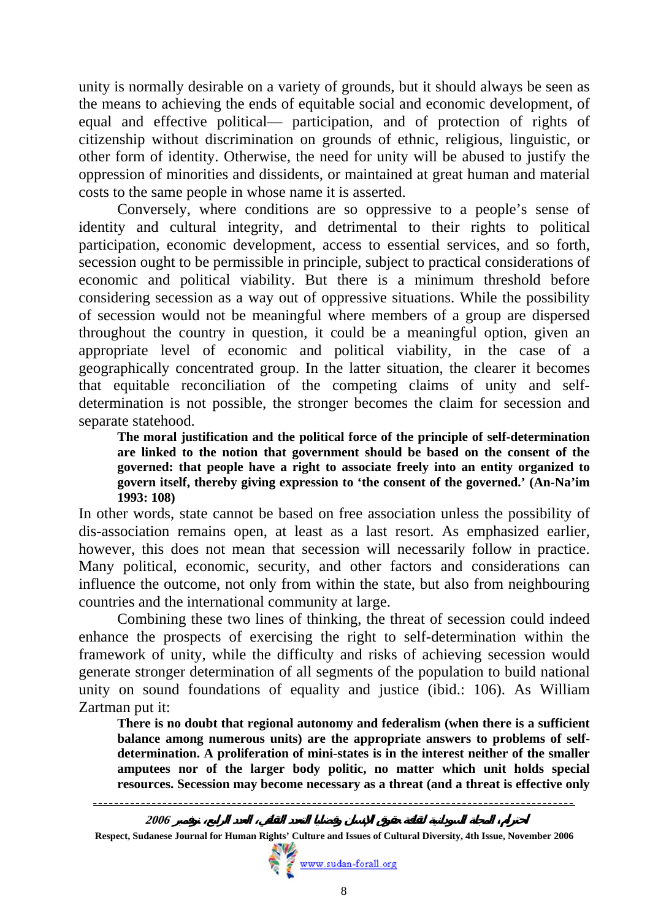unity is normally desirable on a variety of grounds, but it should always be seen as the means to achieving the ends of equitable social and economic development, of equal and effective political— participation, and of protection of rights of citizenship without discrimination on grounds of ethnic, religious, linguistic, or other form of identity. Otherwise, the need for unity will be abused to justify the oppression of minorities and dissidents, or maintained at great human and material costs to the same people in whose name it is asserted.

Conversely, where conditions are so oppressive to a people's sense of identity and cultural integrity, and detrimental to their rights to political participation, economic development, access to essential services, and so forth, secession ought to be permissible in principle, subject to practical considerations of economic and political viability. But there is a minimum threshold before considering secession as a way out of oppressive situations. While the possibility of secession would not be meaningful where members of a group are dispersed throughout the country in question, it could be a meaningful option, given an appropriate level of economic and political viability, in the case of a geographically concentrated group. In the latter situation, the clearer it becomes that equitable reconciliation of the competing claims of unity and selfdetermination is not possible, the stronger becomes the claim for secession and separate statehood.

**The moral justification and the political force of the principle of self-determination are linked to the notion that government should be based on the consent of the governed: that people have a right to associate freely into an entity organized to govern itself, thereby giving expression to 'the consent of the governed.' (An-Na'im 1993: 108)** 

In other words, state cannot be based on free association unless the possibility of dis-association remains open, at least as a last resort. As emphasized earlier, however, this does not mean that secession will necessarily follow in practice. Many political, economic, security, and other factors and considerations can influence the outcome, not only from within the state, but also from neighbouring countries and the international community at large.

Combining these two lines of thinking, the threat of secession could indeed enhance the prospects of exercising the right to self-determination within the framework of unity, while the difficulty and risks of achieving secession would generate stronger determination of all segments of the population to build national unity on sound foundations of equality and justice (ibid.: 106). As William Zartman put it:

**There is no doubt that regional autonomy and federalism (when there is a sufficient balance among numerous units) are the appropriate answers to problems of selfdetermination. A proliferation of mini-states is in the interest neither of the smaller amputees nor of the larger body politic, no matter which unit holds special resources. Secession may become necessary as a threat (and a threat is effective only** 



**Respect, Sudanese Journal for Human Rights' Culture and Issues of Cultural Diversity, 4th Issue, November 2006**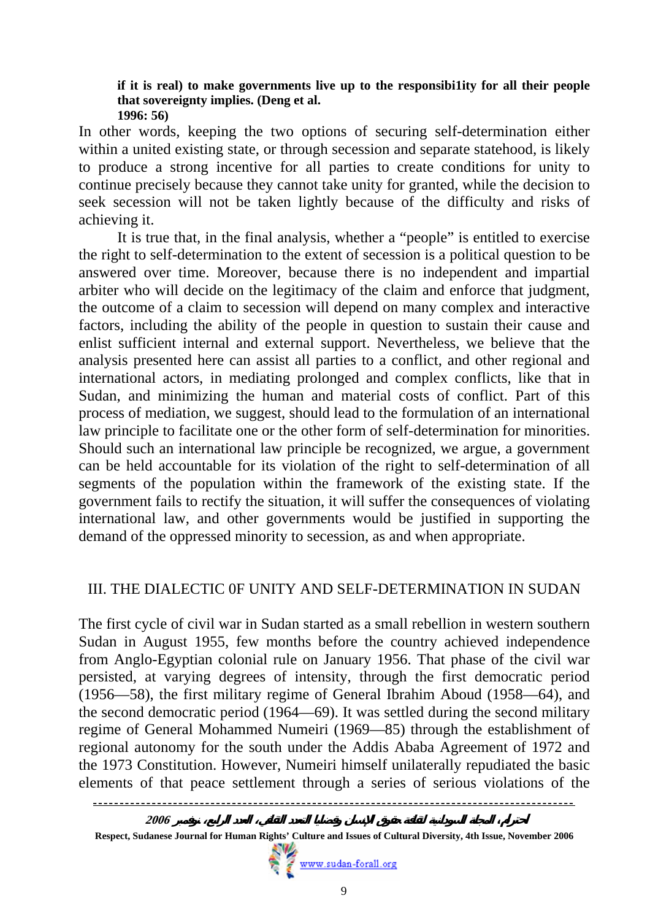#### **if it is real) to make governments live up to the responsibi1ity for all their people that sovereignty implies. (Deng et al. 1996: 56)**

In other words, keeping the two options of securing self-determination either within a united existing state, or through secession and separate statehood, is likely to produce a strong incentive for all parties to create conditions for unity to continue precisely because they cannot take unity for granted, while the decision to seek secession will not be taken lightly because of the difficulty and risks of achieving it.

It is true that, in the final analysis, whether a "people" is entitled to exercise the right to self-determination to the extent of secession is a political question to be answered over time. Moreover, because there is no independent and impartial arbiter who will decide on the legitimacy of the claim and enforce that judgment, the outcome of a claim to secession will depend on many complex and interactive factors, including the ability of the people in question to sustain their cause and enlist sufficient internal and external support. Nevertheless, we believe that the analysis presented here can assist all parties to a conflict, and other regional and international actors, in mediating prolonged and complex conflicts, like that in Sudan, and minimizing the human and material costs of conflict. Part of this process of mediation, we suggest, should lead to the formulation of an international law principle to facilitate one or the other form of self-determination for minorities. Should such an international law principle be recognized, we argue, a government can be held accountable for its violation of the right to self-determination of all segments of the population within the framework of the existing state. If the government fails to rectify the situation, it will suffer the consequences of violating international law, and other governments would be justified in supporting the demand of the oppressed minority to secession, as and when appropriate.

#### III. THE DIALECTIC 0F UNITY AND SELF-DETERMINATION IN SUDAN

The first cycle of civil war in Sudan started as a small rebellion in western southern Sudan in August 1955, few months before the country achieved independence from Anglo-Egyptian colonial rule on January 1956. That phase of the civil war persisted, at varying degrees of intensity, through the first democratic period (1956—58), the first military regime of General Ibrahim Aboud (1958—64), and the second democratic period (1964—69). It was settled during the second military regime of General Mohammed Numeiri (1969—85) through the establishment of regional autonomy for the south under the Addis Ababa Agreement of 1972 and the 1973 Constitution. However, Numeiri himself unilaterally repudiated the basic elements of that peace settlement through a series of serious violations of the



**احترام المجلة السودانية لثقافة حقوق الإنسان وقضايا التعدد الثقافي، العدد الرابع، نوفمبر <sup>2006</sup>** 

**Respect, Sudanese Journal for Human Rights' Culture and Issues of Cultural Diversity, 4th Issue, November 2006**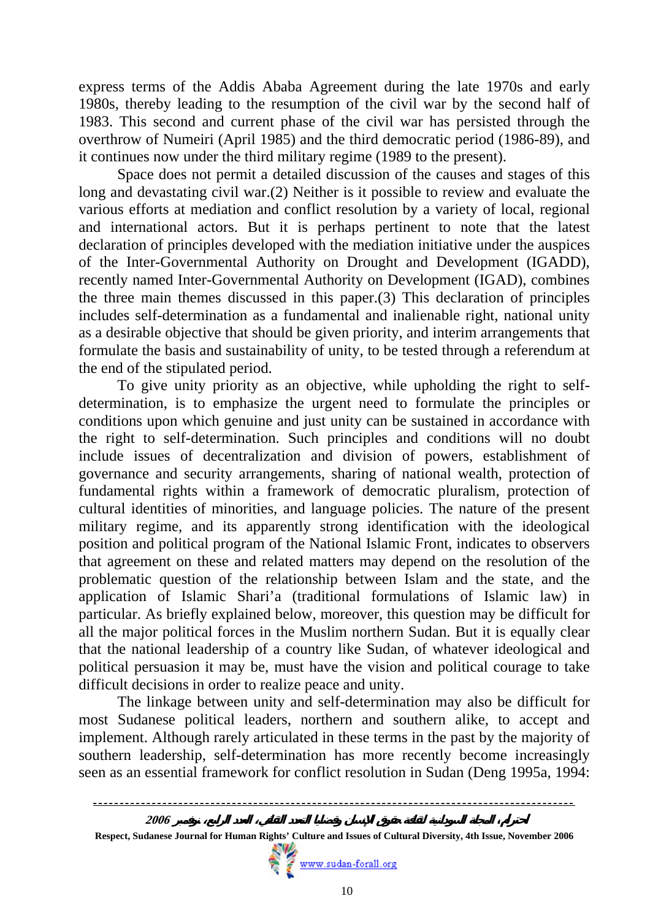express terms of the Addis Ababa Agreement during the late 1970s and early 1980s, thereby leading to the resumption of the civil war by the second half of 1983. This second and current phase of the civil war has persisted through the overthrow of Numeiri (April 1985) and the third democratic period (1986-89), and it continues now under the third military regime (1989 to the present).

Space does not permit a detailed discussion of the causes and stages of this long and devastating civil war.(2) Neither is it possible to review and evaluate the various efforts at mediation and conflict resolution by a variety of local, regional and international actors. But it is perhaps pertinent to note that the latest declaration of principles developed with the mediation initiative under the auspices of the Inter-Governmental Authority on Drought and Development (IGADD), recently named Inter-Governmental Authority on Development (IGAD), combines the three main themes discussed in this paper.(3) This declaration of principles includes self-determination as a fundamental and inalienable right, national unity as a desirable objective that should be given priority, and interim arrangements that formulate the basis and sustainability of unity, to be tested through a referendum at the end of the stipulated period.

To give unity priority as an objective, while upholding the right to selfdetermination, is to emphasize the urgent need to formulate the principles or conditions upon which genuine and just unity can be sustained in accordance with the right to self-determination. Such principles and conditions will no doubt include issues of decentralization and division of powers, establishment of governance and security arrangements, sharing of national wealth, protection of fundamental rights within a framework of democratic pluralism, protection of cultural identities of minorities, and language policies. The nature of the present military regime, and its apparently strong identification with the ideological position and political program of the National Islamic Front, indicates to observers that agreement on these and related matters may depend on the resolution of the problematic question of the relationship between Islam and the state, and the application of Islamic Shari'a (traditional formulations of Islamic law) in particular. As briefly explained below, moreover, this question may be difficult for all the major political forces in the Muslim northern Sudan. But it is equally clear that the national leadership of a country like Sudan, of whatever ideological and political persuasion it may be, must have the vision and political courage to take difficult decisions in order to realize peace and unity.

The linkage between unity and self-determination may also be difficult for most Sudanese political leaders, northern and southern alike, to accept and implement. Although rarely articulated in these terms in the past by the majority of southern leadership, self-determination has more recently become increasingly seen as an essential framework for conflict resolution in Sudan (Deng 1995a, 1994:

 **Respect, Sudanese Journal for Human Rights' Culture and Issues of Cultural Diversity, 4th Issue, November 2006**

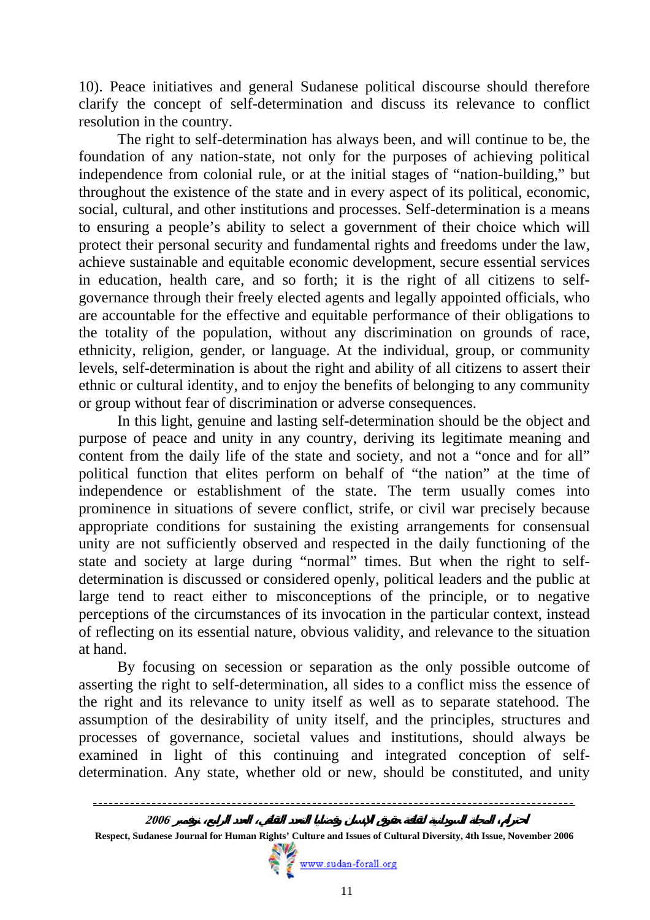10). Peace initiatives and general Sudanese political discourse should therefore clarify the concept of self-determination and discuss its relevance to conflict resolution in the country.

The right to self-determination has always been, and will continue to be, the foundation of any nation-state, not only for the purposes of achieving political independence from colonial rule, or at the initial stages of "nation-building," but throughout the existence of the state and in every aspect of its political, economic, social, cultural, and other institutions and processes. Self-determination is a means to ensuring a people's ability to select a government of their choice which will protect their personal security and fundamental rights and freedoms under the law, achieve sustainable and equitable economic development, secure essential services in education, health care, and so forth; it is the right of all citizens to selfgovernance through their freely elected agents and legally appointed officials, who are accountable for the effective and equitable performance of their obligations to the totality of the population, without any discrimination on grounds of race, ethnicity, religion, gender, or language. At the individual, group, or community levels, self-determination is about the right and ability of all citizens to assert their ethnic or cultural identity, and to enjoy the benefits of belonging to any community or group without fear of discrimination or adverse consequences.

In this light, genuine and lasting self-determination should be the object and purpose of peace and unity in any country, deriving its legitimate meaning and content from the daily life of the state and society, and not a "once and for all" political function that elites perform on behalf of "the nation" at the time of independence or establishment of the state. The term usually comes into prominence in situations of severe conflict, strife, or civil war precisely because appropriate conditions for sustaining the existing arrangements for consensual unity are not sufficiently observed and respected in the daily functioning of the state and society at large during "normal" times. But when the right to selfdetermination is discussed or considered openly, political leaders and the public at large tend to react either to misconceptions of the principle, or to negative perceptions of the circumstances of its invocation in the particular context, instead of reflecting on its essential nature, obvious validity, and relevance to the situation at hand.

By focusing on secession or separation as the only possible outcome of asserting the right to self-determination, all sides to a conflict miss the essence of the right and its relevance to unity itself as well as to separate statehood. The assumption of the desirability of unity itself, and the principles, structures and processes of governance, societal values and institutions, should always be examined in light of this continuing and integrated conception of selfdetermination. Any state, whether old or new, should be constituted, and unity

 **Respect, Sudanese Journal for Human Rights' Culture and Issues of Cultural Diversity, 4th Issue, November 2006**

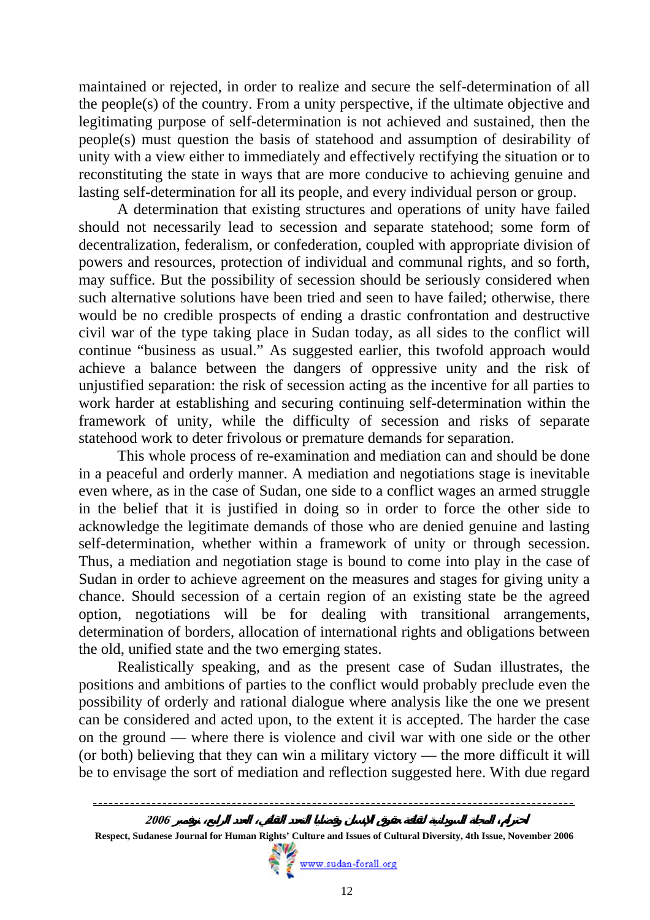maintained or rejected, in order to realize and secure the self-determination of all the people(s) of the country. From a unity perspective, if the ultimate objective and legitimating purpose of self-determination is not achieved and sustained, then the people(s) must question the basis of statehood and assumption of desirability of unity with a view either to immediately and effectively rectifying the situation or to reconstituting the state in ways that are more conducive to achieving genuine and lasting self-determination for all its people, and every individual person or group.

A determination that existing structures and operations of unity have failed should not necessarily lead to secession and separate statehood; some form of decentralization, federalism, or confederation, coupled with appropriate division of powers and resources, protection of individual and communal rights, and so forth, may suffice. But the possibility of secession should be seriously considered when such alternative solutions have been tried and seen to have failed; otherwise, there would be no credible prospects of ending a drastic confrontation and destructive civil war of the type taking place in Sudan today, as all sides to the conflict will continue "business as usual." As suggested earlier, this twofold approach would achieve a balance between the dangers of oppressive unity and the risk of unjustified separation: the risk of secession acting as the incentive for all parties to work harder at establishing and securing continuing self-determination within the framework of unity, while the difficulty of secession and risks of separate statehood work to deter frivolous or premature demands for separation.

This whole process of re-examination and mediation can and should be done in a peaceful and orderly manner. A mediation and negotiations stage is inevitable even where, as in the case of Sudan, one side to a conflict wages an armed struggle in the belief that it is justified in doing so in order to force the other side to acknowledge the legitimate demands of those who are denied genuine and lasting self-determination, whether within a framework of unity or through secession. Thus, a mediation and negotiation stage is bound to come into play in the case of Sudan in order to achieve agreement on the measures and stages for giving unity a chance. Should secession of a certain region of an existing state be the agreed option, negotiations will be for dealing with transitional arrangements, determination of borders, allocation of international rights and obligations between the old, unified state and the two emerging states.

Realistically speaking, and as the present case of Sudan illustrates, the positions and ambitions of parties to the conflict would probably preclude even the possibility of orderly and rational dialogue where analysis like the one we present can be considered and acted upon, to the extent it is accepted. The harder the case on the ground — where there is violence and civil war with one side or the other (or both) believing that they can win a military victory — the more difficult it will be to envisage the sort of mediation and reflection suggested here. With due regard



**Respect, Sudanese Journal for Human Rights' Culture and Issues of Cultural Diversity, 4th Issue, November 2006**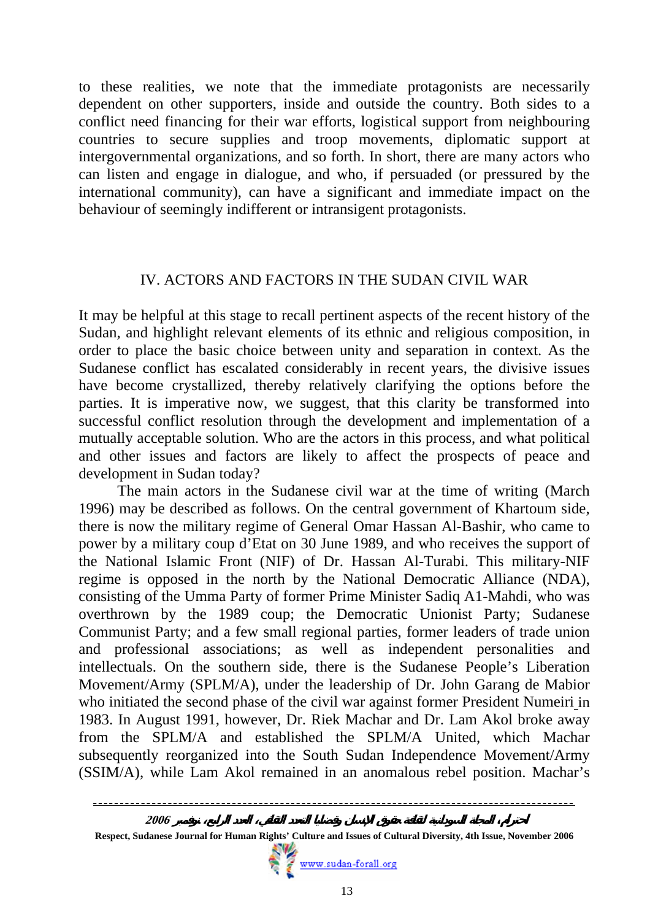to these realities, we note that the immediate protagonists are necessarily dependent on other supporters, inside and outside the country. Both sides to a conflict need financing for their war efforts, logistical support from neighbouring countries to secure supplies and troop movements, diplomatic support at intergovernmental organizations, and so forth. In short, there are many actors who can listen and engage in dialogue, and who, if persuaded (or pressured by the international community), can have a significant and immediate impact on the behaviour of seemingly indifferent or intransigent protagonists.

### IV. ACTORS AND FACTORS IN THE SUDAN CIVIL WAR

It may be helpful at this stage to recall pertinent aspects of the recent history of the Sudan, and highlight relevant elements of its ethnic and religious composition, in order to place the basic choice between unity and separation in context. As the Sudanese conflict has escalated considerably in recent years, the divisive issues have become crystallized, thereby relatively clarifying the options before the parties. It is imperative now, we suggest, that this clarity be transformed into successful conflict resolution through the development and implementation of a mutually acceptable solution. Who are the actors in this process, and what political and other issues and factors are likely to affect the prospects of peace and development in Sudan today?

The main actors in the Sudanese civil war at the time of writing (March 1996) may be described as follows. On the central government of Khartoum side, there is now the military regime of General Omar Hassan Al-Bashir, who came to power by a military coup d'Etat on 30 June 1989, and who receives the support of the National Islamic Front (NIF) of Dr. Hassan Al-Turabi. This military-NIF regime is opposed in the north by the National Democratic Alliance (NDA), consisting of the Umma Party of former Prime Minister Sadiq A1-Mahdi, who was overthrown by the 1989 coup; the Democratic Unionist Party; Sudanese Communist Party; and a few small regional parties, former leaders of trade union and professional associations; as well as independent personalities and intellectuals. On the southern side, there is the Sudanese People's Liberation Movement/Army (SPLM/A), under the leadership of Dr. John Garang de Mabior who initiated the second phase of the civil war against former President Numeiri in 1983. In August 1991, however, Dr. Riek Machar and Dr. Lam Akol broke away from the SPLM/A and established the SPLM/A United, which Machar subsequently reorganized into the South Sudan Independence Movement/Army (SSIM/A), while Lam Akol remained in an anomalous rebel position. Machar's



**Respect, Sudanese Journal for Human Rights' Culture and Issues of Cultural Diversity, 4th Issue, November 2006**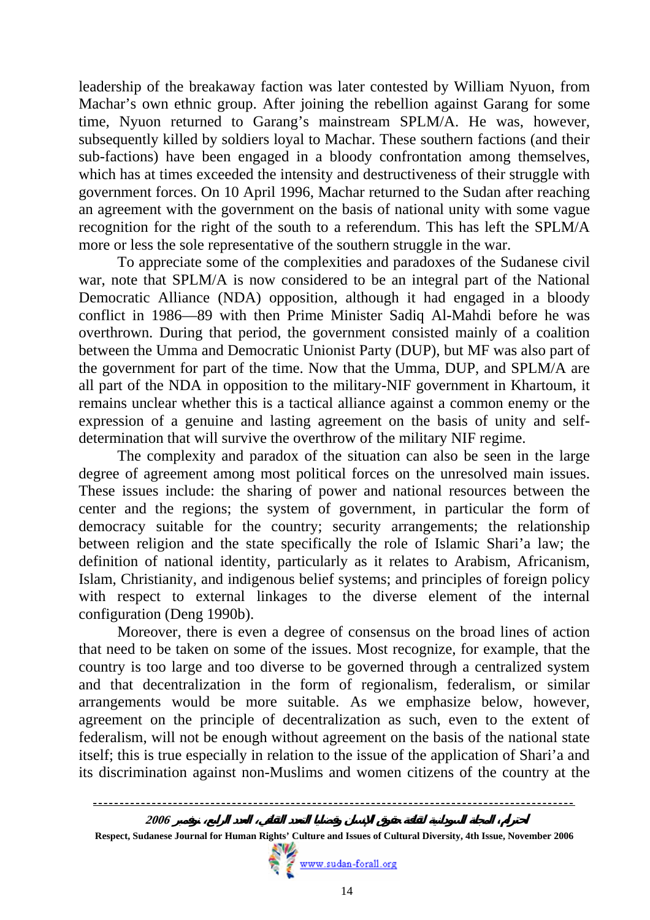leadership of the breakaway faction was later contested by William Nyuon, from Machar's own ethnic group. After joining the rebellion against Garang for some time, Nyuon returned to Garang's mainstream SPLM/A. He was, however, subsequently killed by soldiers loyal to Machar. These southern factions (and their sub-factions) have been engaged in a bloody confrontation among themselves, which has at times exceeded the intensity and destructiveness of their struggle with government forces. On 10 April 1996, Machar returned to the Sudan after reaching an agreement with the government on the basis of national unity with some vague recognition for the right of the south to a referendum. This has left the SPLM/A more or less the sole representative of the southern struggle in the war.

To appreciate some of the complexities and paradoxes of the Sudanese civil war, note that SPLM/A is now considered to be an integral part of the National Democratic Alliance (NDA) opposition, although it had engaged in a bloody conflict in 1986—89 with then Prime Minister Sadiq Al-Mahdi before he was overthrown. During that period, the government consisted mainly of a coalition between the Umma and Democratic Unionist Party (DUP), but MF was also part of the government for part of the time. Now that the Umma, DUP, and SPLM/A are all part of the NDA in opposition to the military-NIF government in Khartoum, it remains unclear whether this is a tactical alliance against a common enemy or the expression of a genuine and lasting agreement on the basis of unity and selfdetermination that will survive the overthrow of the military NIF regime.

The complexity and paradox of the situation can also be seen in the large degree of agreement among most political forces on the unresolved main issues. These issues include: the sharing of power and national resources between the center and the regions; the system of government, in particular the form of democracy suitable for the country; security arrangements; the relationship between religion and the state specifically the role of Islamic Shari'a law; the definition of national identity, particularly as it relates to Arabism, Africanism, Islam, Christianity, and indigenous belief systems; and principles of foreign policy with respect to external linkages to the diverse element of the internal configuration (Deng 1990b).

Moreover, there is even a degree of consensus on the broad lines of action that need to be taken on some of the issues. Most recognize, for example, that the country is too large and too diverse to be governed through a centralized system and that decentralization in the form of regionalism, federalism, or similar arrangements would be more suitable. As we emphasize below, however, agreement on the principle of decentralization as such, even to the extent of federalism, will not be enough without agreement on the basis of the national state itself; this is true especially in relation to the issue of the application of Shari'a and its discrimination against non-Muslims and women citizens of the country at the

 **Respect, Sudanese Journal for Human Rights' Culture and Issues of Cultural Diversity, 4th Issue, November 2006**

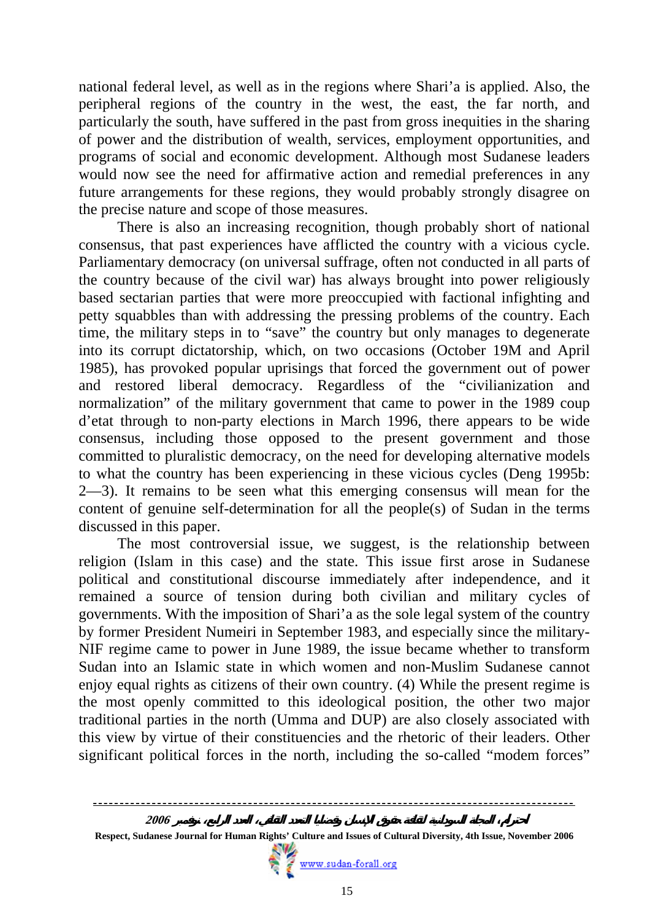national federal level, as well as in the regions where Shari'a is applied. Also, the peripheral regions of the country in the west, the east, the far north, and particularly the south, have suffered in the past from gross inequities in the sharing of power and the distribution of wealth, services, employment opportunities, and programs of social and economic development. Although most Sudanese leaders would now see the need for affirmative action and remedial preferences in any future arrangements for these regions, they would probably strongly disagree on the precise nature and scope of those measures.

There is also an increasing recognition, though probably short of national consensus, that past experiences have afflicted the country with a vicious cycle. Parliamentary democracy (on universal suffrage, often not conducted in all parts of the country because of the civil war) has always brought into power religiously based sectarian parties that were more preoccupied with factional infighting and petty squabbles than with addressing the pressing problems of the country. Each time, the military steps in to "save" the country but only manages to degenerate into its corrupt dictatorship, which, on two occasions (October 19M and April 1985), has provoked popular uprisings that forced the government out of power and restored liberal democracy. Regardless of the "civilianization and normalization" of the military government that came to power in the 1989 coup d'etat through to non-party elections in March 1996, there appears to be wide consensus, including those opposed to the present government and those committed to pluralistic democracy, on the need for developing alternative models to what the country has been experiencing in these vicious cycles (Deng 1995b: 2—3). It remains to be seen what this emerging consensus will mean for the content of genuine self-determination for all the people(s) of Sudan in the terms discussed in this paper.

The most controversial issue, we suggest, is the relationship between religion (Islam in this case) and the state. This issue first arose in Sudanese political and constitutional discourse immediately after independence, and it remained a source of tension during both civilian and military cycles of governments. With the imposition of Shari'a as the sole legal system of the country by former President Numeiri in September 1983, and especially since the military-NIF regime came to power in June 1989, the issue became whether to transform Sudan into an Islamic state in which women and non-Muslim Sudanese cannot enjoy equal rights as citizens of their own country. (4) While the present regime is the most openly committed to this ideological position, the other two major traditional parties in the north (Umma and DUP) are also closely associated with this view by virtue of their constituencies and the rhetoric of their leaders. Other significant political forces in the north, including the so-called "modem forces"

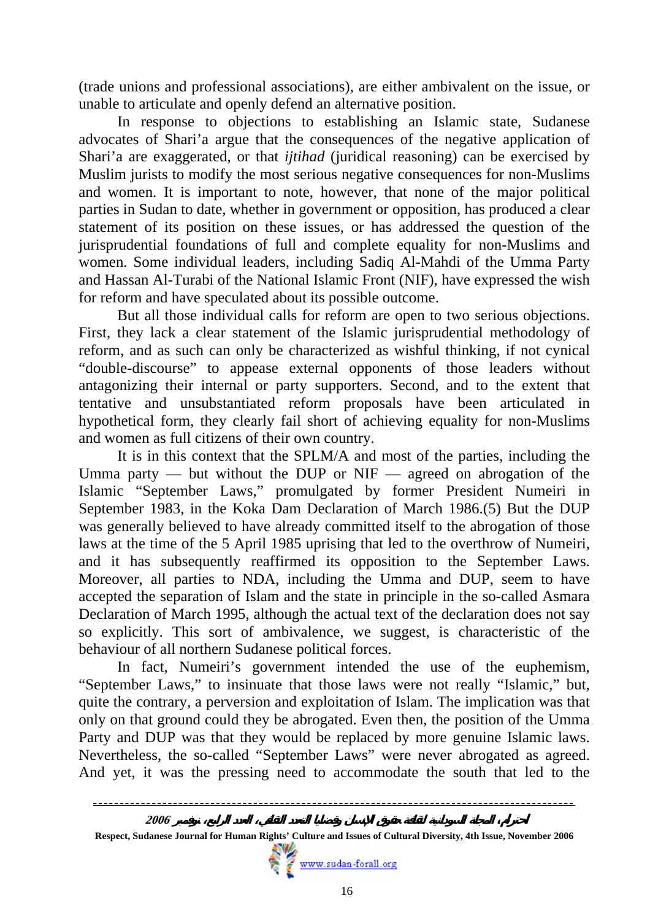(trade unions and professional associations), are either ambivalent on the issue, or unable to articulate and openly defend an alternative position.

In response to objections to establishing an Islamic state, Sudanese advocates of Shari'a argue that the consequences of the negative application of Shari'a are exaggerated, or that *ijtihad* (juridical reasoning) can be exercised by Muslim jurists to modify the most serious negative consequences for non-Muslims and women. It is important to note, however, that none of the major political parties in Sudan to date, whether in government or opposition, has produced a clear statement of its position on these issues, or has addressed the question of the jurisprudential foundations of full and complete equality for non-Muslims and women. Some individual leaders, including Sadiq Al-Mahdi of the Umma Party and Hassan Al-Turabi of the National Islamic Front (NIF), have expressed the wish for reform and have speculated about its possible outcome.

But all those individual calls for reform are open to two serious objections. First, they lack a clear statement of the Islamic jurisprudential methodology of reform, and as such can only be characterized as wishful thinking, if not cynical "double-discourse" to appease external opponents of those leaders without antagonizing their internal or party supporters. Second, and to the extent that tentative and unsubstantiated reform proposals have been articulated in hypothetical form, they clearly fail short of achieving equality for non-Muslims and women as full citizens of their own country.

It is in this context that the SPLM/A and most of the parties, including the Umma party — but without the DUP or NIF — agreed on abrogation of the Islamic "September Laws," promulgated by former President Numeiri in September 1983, in the Koka Dam Declaration of March 1986.(5) But the DUP was generally believed to have already committed itself to the abrogation of those laws at the time of the 5 April 1985 uprising that led to the overthrow of Numeiri, and it has subsequently reaffirmed its opposition to the September Laws. Moreover, all parties to NDA, including the Umma and DUP, seem to have accepted the separation of Islam and the state in principle in the so-called Asmara Declaration of March 1995, although the actual text of the declaration does not say so explicitly. This sort of ambivalence, we suggest, is characteristic of the behaviour of all northern Sudanese political forces.

In fact, Numeiri's government intended the use of the euphemism, "September Laws," to insinuate that those laws were not really "Islamic," but, quite the contrary, a perversion and exploitation of Islam. The implication was that only on that ground could they be abrogated. Even then, the position of the Umma Party and DUP was that they would be replaced by more genuine Islamic laws. Nevertheless, the so-called "September Laws" were never abrogated as agreed. And yet, it was the pressing need to accommodate the south that led to the

 **Respect, Sudanese Journal for Human Rights' Culture and Issues of Cultural Diversity, 4th Issue, November 2006**

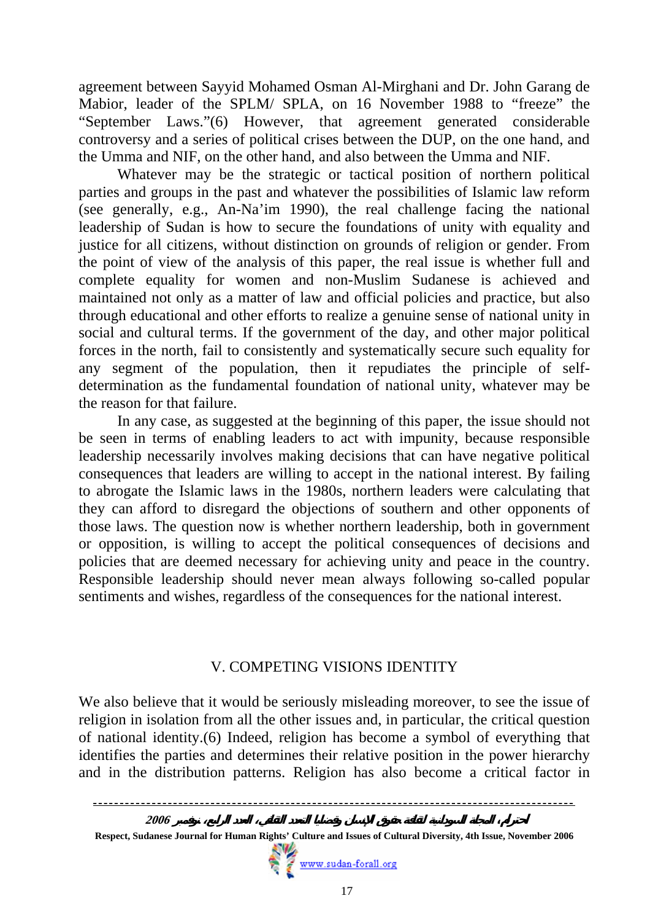agreement between Sayyid Mohamed Osman Al-Mirghani and Dr. John Garang de Mabior, leader of the SPLM/ SPLA, on 16 November 1988 to "freeze" the "September Laws."(6) However, that agreement generated considerable controversy and a series of political crises between the DUP, on the one hand, and the Umma and NIF, on the other hand, and also between the Umma and NIF.

Whatever may be the strategic or tactical position of northern political parties and groups in the past and whatever the possibilities of Islamic law reform (see generally, e.g., An-Na'im 1990), the real challenge facing the national leadership of Sudan is how to secure the foundations of unity with equality and justice for all citizens, without distinction on grounds of religion or gender. From the point of view of the analysis of this paper, the real issue is whether full and complete equality for women and non-Muslim Sudanese is achieved and maintained not only as a matter of law and official policies and practice, but also through educational and other efforts to realize a genuine sense of national unity in social and cultural terms. If the government of the day, and other major political forces in the north, fail to consistently and systematically secure such equality for any segment of the population, then it repudiates the principle of selfdetermination as the fundamental foundation of national unity, whatever may be the reason for that failure.

In any case, as suggested at the beginning of this paper, the issue should not be seen in terms of enabling leaders to act with impunity, because responsible leadership necessarily involves making decisions that can have negative political consequences that leaders are willing to accept in the national interest. By failing to abrogate the Islamic laws in the 1980s, northern leaders were calculating that they can afford to disregard the objections of southern and other opponents of those laws. The question now is whether northern leadership, both in government or opposition, is willing to accept the political consequences of decisions and policies that are deemed necessary for achieving unity and peace in the country. Responsible leadership should never mean always following so-called popular sentiments and wishes, regardless of the consequences for the national interest.

#### V. COMPETING VISIONS IDENTITY

We also believe that it would be seriously misleading moreover, to see the issue of religion in isolation from all the other issues and, in particular, the critical question of national identity.(6) Indeed, religion has become a symbol of everything that identifies the parties and determines their relative position in the power hierarchy and in the distribution patterns. Religion has also become a critical factor in



**Respect, Sudanese Journal for Human Rights' Culture and Issues of Cultural Diversity, 4th Issue, November 2006**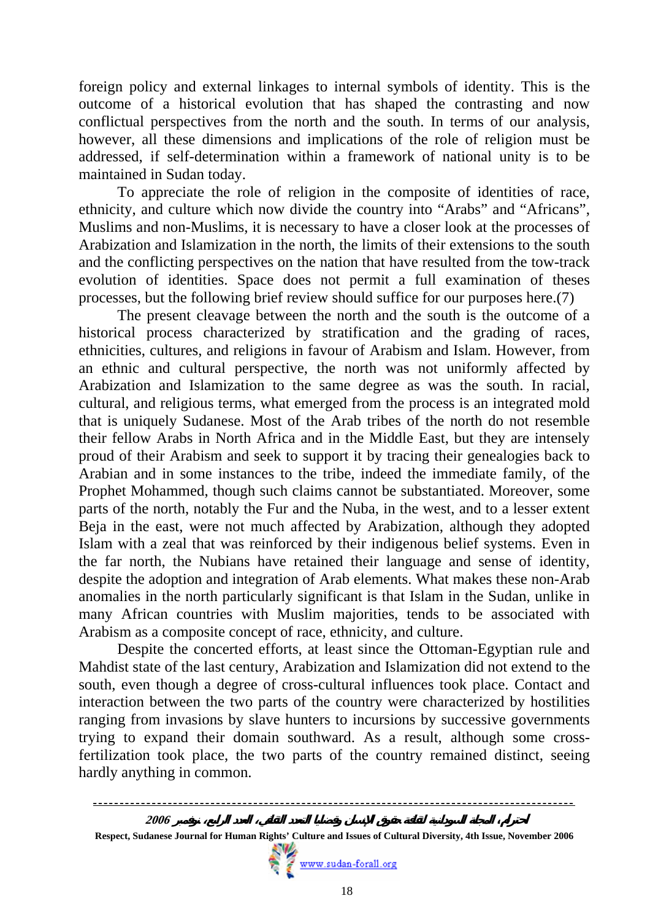foreign policy and external linkages to internal symbols of identity. This is the outcome of a historical evolution that has shaped the contrasting and now conflictual perspectives from the north and the south. In terms of our analysis, however, all these dimensions and implications of the role of religion must be addressed, if self-determination within a framework of national unity is to be maintained in Sudan today.

 To appreciate the role of religion in the composite of identities of race, ethnicity, and culture which now divide the country into "Arabs" and "Africans", Muslims and non-Muslims, it is necessary to have a closer look at the processes of Arabization and Islamization in the north, the limits of their extensions to the south and the conflicting perspectives on the nation that have resulted from the tow-track evolution of identities. Space does not permit a full examination of theses processes, but the following brief review should suffice for our purposes here.(7)

 The present cleavage between the north and the south is the outcome of a historical process characterized by stratification and the grading of races, ethnicities, cultures, and religions in favour of Arabism and Islam. However, from an ethnic and cultural perspective, the north was not uniformly affected by Arabization and Islamization to the same degree as was the south. In racial, cultural, and religious terms, what emerged from the process is an integrated mold that is uniquely Sudanese. Most of the Arab tribes of the north do not resemble their fellow Arabs in North Africa and in the Middle East, but they are intensely proud of their Arabism and seek to support it by tracing their genealogies back to Arabian and in some instances to the tribe, indeed the immediate family, of the Prophet Mohammed, though such claims cannot be substantiated. Moreover, some parts of the north, notably the Fur and the Nuba, in the west, and to a lesser extent Beja in the east, were not much affected by Arabization, although they adopted Islam with a zeal that was reinforced by their indigenous belief systems. Even in the far north, the Nubians have retained their language and sense of identity, despite the adoption and integration of Arab elements. What makes these non-Arab anomalies in the north particularly significant is that Islam in the Sudan, unlike in many African countries with Muslim majorities, tends to be associated with Arabism as a composite concept of race, ethnicity, and culture.

Despite the concerted efforts, at least since the Ottoman-Egyptian rule and Mahdist state of the last century, Arabization and Islamization did not extend to the south, even though a degree of cross-cultural influences took place. Contact and interaction between the two parts of the country were characterized by hostilities ranging from invasions by slave hunters to incursions by successive governments trying to expand their domain southward. As a result, although some crossfertilization took place, the two parts of the country remained distinct, seeing hardly anything in common.



**Respect, Sudanese Journal for Human Rights' Culture and Issues of Cultural Diversity, 4th Issue, November 2006**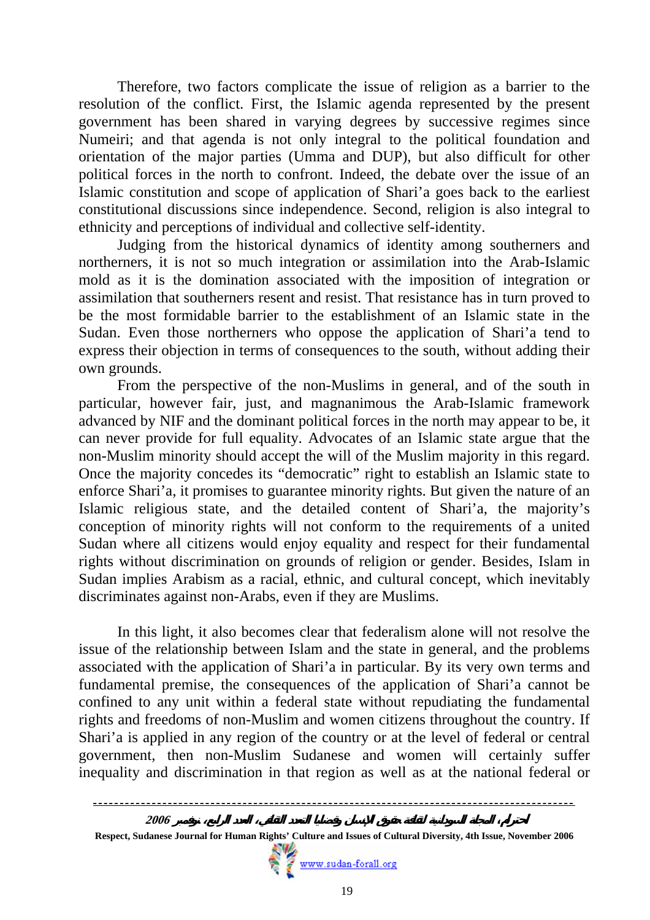Therefore, two factors complicate the issue of religion as a barrier to the resolution of the conflict. First, the Islamic agenda represented by the present government has been shared in varying degrees by successive regimes since Numeiri; and that agenda is not only integral to the political foundation and orientation of the major parties (Umma and DUP), but also difficult for other political forces in the north to confront. Indeed, the debate over the issue of an Islamic constitution and scope of application of Shari'a goes back to the earliest constitutional discussions since independence. Second, religion is also integral to ethnicity and perceptions of individual and collective self-identity.

Judging from the historical dynamics of identity among southerners and northerners, it is not so much integration or assimilation into the Arab-Islamic mold as it is the domination associated with the imposition of integration or assimilation that southerners resent and resist. That resistance has in turn proved to be the most formidable barrier to the establishment of an Islamic state in the Sudan. Even those northerners who oppose the application of Shari'a tend to express their objection in terms of consequences to the south, without adding their own grounds.

From the perspective of the non-Muslims in general, and of the south in particular, however fair, just, and magnanimous the Arab-Islamic framework advanced by NIF and the dominant political forces in the north may appear to be, it can never provide for full equality. Advocates of an Islamic state argue that the non-Muslim minority should accept the will of the Muslim majority in this regard. Once the majority concedes its "democratic" right to establish an Islamic state to enforce Shari'a, it promises to guarantee minority rights. But given the nature of an Islamic religious state, and the detailed content of Shari'a, the majority's conception of minority rights will not conform to the requirements of a united Sudan where all citizens would enjoy equality and respect for their fundamental rights without discrimination on grounds of religion or gender. Besides, Islam in Sudan implies Arabism as a racial, ethnic, and cultural concept, which inevitably discriminates against non-Arabs, even if they are Muslims.

In this light, it also becomes clear that federalism alone will not resolve the issue of the relationship between Islam and the state in general, and the problems associated with the application of Shari'a in particular. By its very own terms and fundamental premise, the consequences of the application of Shari'a cannot be confined to any unit within a federal state without repudiating the fundamental rights and freedoms of non-Muslim and women citizens throughout the country. If Shari'a is applied in any region of the country or at the level of federal or central government, then non-Muslim Sudanese and women will certainly suffer inequality and discrimination in that region as well as at the national federal or

 **Respect, Sudanese Journal for Human Rights' Culture and Issues of Cultural Diversity, 4th Issue, November 2006**

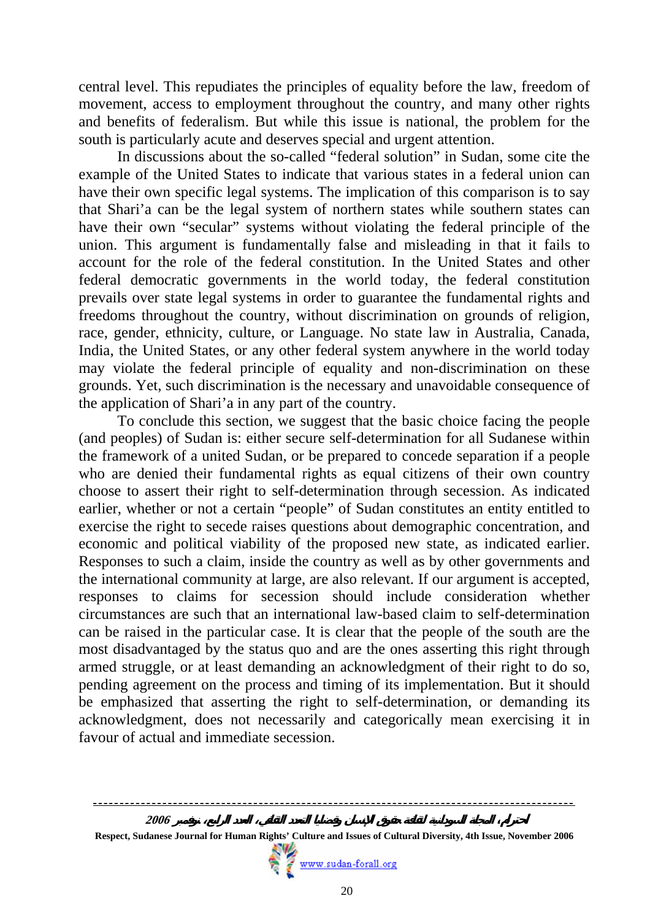central level. This repudiates the principles of equality before the law, freedom of movement, access to employment throughout the country, and many other rights and benefits of federalism. But while this issue is national, the problem for the south is particularly acute and deserves special and urgent attention.

In discussions about the so-called "federal solution" in Sudan, some cite the example of the United States to indicate that various states in a federal union can have their own specific legal systems. The implication of this comparison is to say that Shari'a can be the legal system of northern states while southern states can have their own "secular" systems without violating the federal principle of the union. This argument is fundamentally false and misleading in that it fails to account for the role of the federal constitution. In the United States and other federal democratic governments in the world today, the federal constitution prevails over state legal systems in order to guarantee the fundamental rights and freedoms throughout the country, without discrimination on grounds of religion, race, gender, ethnicity, culture, or Language. No state law in Australia, Canada, India, the United States, or any other federal system anywhere in the world today may violate the federal principle of equality and non-discrimination on these grounds. Yet, such discrimination is the necessary and unavoidable consequence of the application of Shari'a in any part of the country.

To conclude this section, we suggest that the basic choice facing the people (and peoples) of Sudan is: either secure self-determination for all Sudanese within the framework of a united Sudan, or be prepared to concede separation if a people who are denied their fundamental rights as equal citizens of their own country choose to assert their right to self-determination through secession. As indicated earlier, whether or not a certain "people" of Sudan constitutes an entity entitled to exercise the right to secede raises questions about demographic concentration, and economic and political viability of the proposed new state, as indicated earlier. Responses to such a claim, inside the country as well as by other governments and the international community at large, are also relevant. If our argument is accepted, responses to claims for secession should include consideration whether circumstances are such that an international law-based claim to self-determination can be raised in the particular case. It is clear that the people of the south are the most disadvantaged by the status quo and are the ones asserting this right through armed struggle, or at least demanding an acknowledgment of their right to do so, pending agreement on the process and timing of its implementation. But it should be emphasized that asserting the right to self-determination, or demanding its acknowledgment, does not necessarily and categorically mean exercising it in favour of actual and immediate secession.

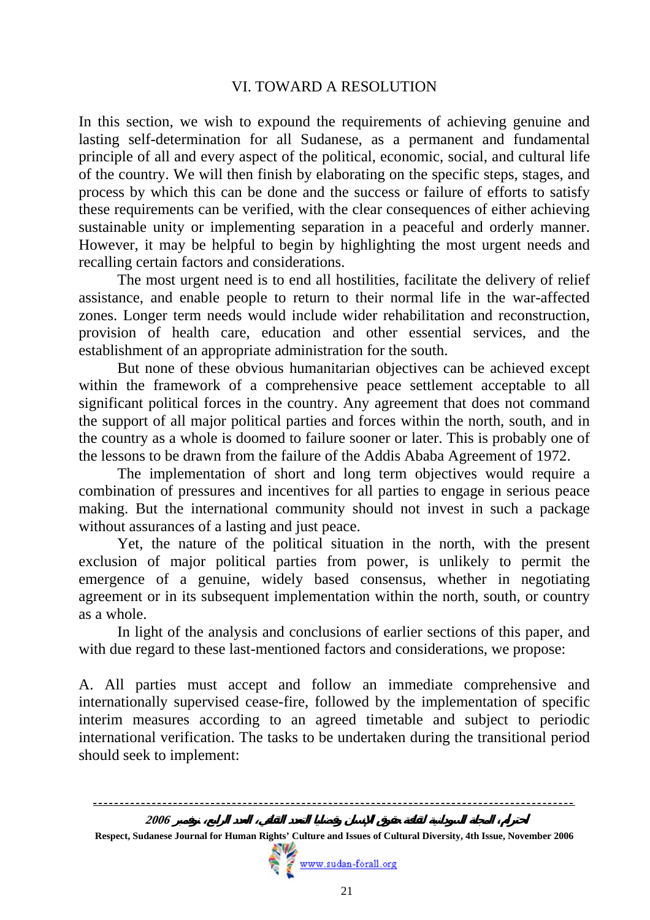### VI. TOWARD A RESOLUTION

In this section, we wish to expound the requirements of achieving genuine and lasting self-determination for all Sudanese, as a permanent and fundamental principle of all and every aspect of the political, economic, social, and cultural life of the country. We will then finish by elaborating on the specific steps, stages, and process by which this can be done and the success or failure of efforts to satisfy these requirements can be verified, with the clear consequences of either achieving sustainable unity or implementing separation in a peaceful and orderly manner. However, it may be helpful to begin by highlighting the most urgent needs and recalling certain factors and considerations.

The most urgent need is to end all hostilities, facilitate the delivery of relief assistance, and enable people to return to their normal life in the war-affected zones. Longer term needs would include wider rehabilitation and reconstruction, provision of health care, education and other essential services, and the establishment of an appropriate administration for the south.

But none of these obvious humanitarian objectives can be achieved except within the framework of a comprehensive peace settlement acceptable to all significant political forces in the country. Any agreement that does not command the support of all major political parties and forces within the north, south, and in the country as a whole is doomed to failure sooner or later. This is probably one of the lessons to be drawn from the failure of the Addis Ababa Agreement of 1972.

The implementation of short and long term objectives would require a combination of pressures and incentives for all parties to engage in serious peace making. But the international community should not invest in such a package without assurances of a lasting and just peace.

Yet, the nature of the political situation in the north, with the present exclusion of major political parties from power, is unlikely to permit the emergence of a genuine, widely based consensus, whether in negotiating agreement or in its subsequent implementation within the north, south, or country as a whole.

In light of the analysis and conclusions of earlier sections of this paper, and with due regard to these last-mentioned factors and considerations, we propose:

A. All parties must accept and follow an immediate comprehensive and internationally supervised cease-fire, followed by the implementation of specific interim measures according to an agreed timetable and subject to periodic international verification. The tasks to be undertaken during the transitional period should seek to implement:



**Respect, Sudanese Journal for Human Rights' Culture and Issues of Cultural Diversity, 4th Issue, November 2006**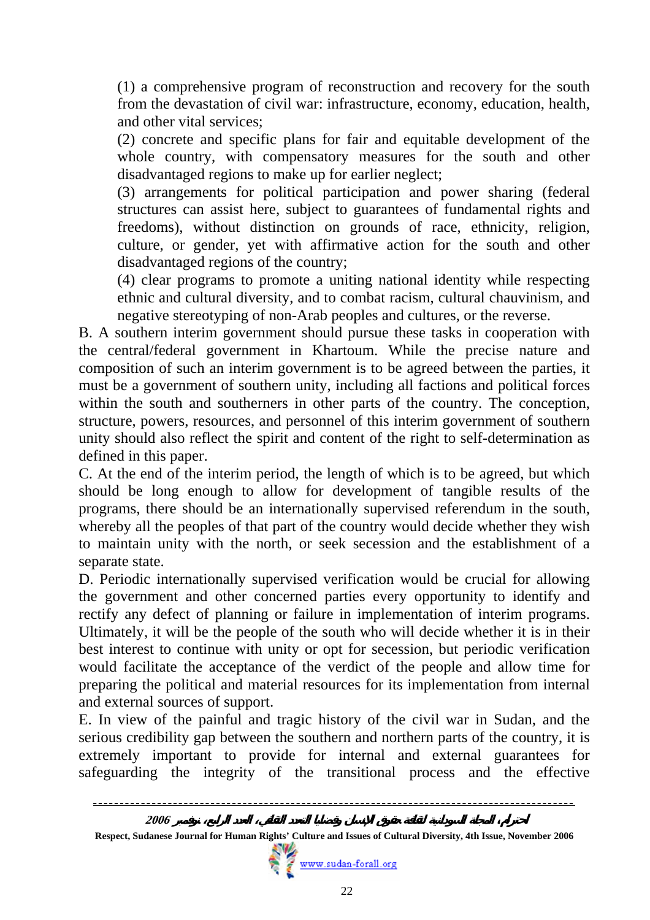(1) a comprehensive program of reconstruction and recovery for the south from the devastation of civil war: infrastructure, economy, education, health, and other vital services;

(2) concrete and specific plans for fair and equitable development of the whole country, with compensatory measures for the south and other disadvantaged regions to make up for earlier neglect;

(3) arrangements for political participation and power sharing (federal structures can assist here, subject to guarantees of fundamental rights and freedoms), without distinction on grounds of race, ethnicity, religion, culture, or gender, yet with affirmative action for the south and other disadvantaged regions of the country;

(4) clear programs to promote a uniting national identity while respecting ethnic and cultural diversity, and to combat racism, cultural chauvinism, and negative stereotyping of non-Arab peoples and cultures, or the reverse.

B. A southern interim government should pursue these tasks in cooperation with the central/federal government in Khartoum. While the precise nature and composition of such an interim government is to be agreed between the parties, it must be a government of southern unity, including all factions and political forces within the south and southerners in other parts of the country. The conception, structure, powers, resources, and personnel of this interim government of southern unity should also reflect the spirit and content of the right to self-determination as defined in this paper.

C. At the end of the interim period, the length of which is to be agreed, but which should be long enough to allow for development of tangible results of the programs, there should be an internationally supervised referendum in the south, whereby all the peoples of that part of the country would decide whether they wish to maintain unity with the north, or seek secession and the establishment of a separate state.

D. Periodic internationally supervised verification would be crucial for allowing the government and other concerned parties every opportunity to identify and rectify any defect of planning or failure in implementation of interim programs. Ultimately, it will be the people of the south who will decide whether it is in their best interest to continue with unity or opt for secession, but periodic verification would facilitate the acceptance of the verdict of the people and allow time for preparing the political and material resources for its implementation from internal and external sources of support. E. In view of the painful and tragic history of the civil war in Sudan, and the

serious credibility gap between the southern and northern parts of the country, it is extremely important to provide for internal and external guarantees for safeguarding the integrity of the transitional process and the effective



**Respect, Sudanese Journal for Human Rights' Culture and Issues of Cultural Diversity, 4th Issue, November 2006**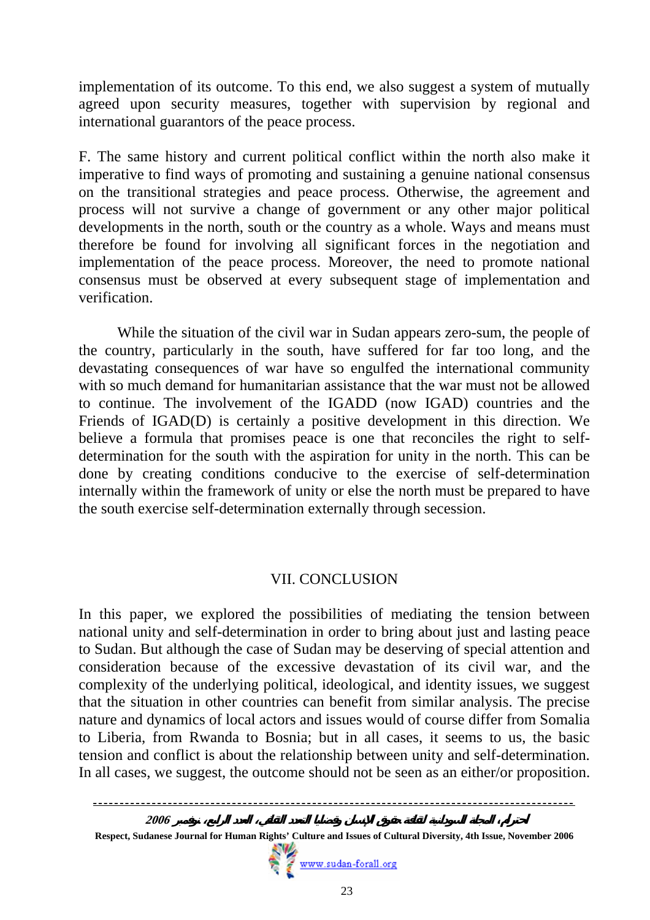implementation of its outcome. To this end, we also suggest a system of mutually agreed upon security measures, together with supervision by regional and international guarantors of the peace process.

F. The same history and current political conflict within the north also make it imperative to find ways of promoting and sustaining a genuine national consensus on the transitional strategies and peace process. Otherwise, the agreement and process will not survive a change of government or any other major political developments in the north, south or the country as a whole. Ways and means must therefore be found for involving all significant forces in the negotiation and implementation of the peace process. Moreover, the need to promote national consensus must be observed at every subsequent stage of implementation and verification.

While the situation of the civil war in Sudan appears zero-sum, the people of the country, particularly in the south, have suffered for far too long, and the devastating consequences of war have so engulfed the international community with so much demand for humanitarian assistance that the war must not be allowed to continue. The involvement of the IGADD (now IGAD) countries and the Friends of IGAD(D) is certainly a positive development in this direction. We believe a formula that promises peace is one that reconciles the right to selfdetermination for the south with the aspiration for unity in the north. This can be done by creating conditions conducive to the exercise of self-determination internally within the framework of unity or else the north must be prepared to have the south exercise self-determination externally through secession.

# VII. CONCLUSION

In this paper, we explored the possibilities of mediating the tension between national unity and self-determination in order to bring about just and lasting peace to Sudan. But although the case of Sudan may be deserving of special attention and consideration because of the excessive devastation of its civil war, and the complexity of the underlying political, ideological, and identity issues, we suggest that the situation in other countries can benefit from similar analysis. The precise nature and dynamics of local actors and issues would of course differ from Somalia to Liberia, from Rwanda to Bosnia; but in all cases, it seems to us, the basic tension and conflict is about the relationship between unity and self-determination. In all cases, we suggest, the outcome should not be seen as an either/or proposition.

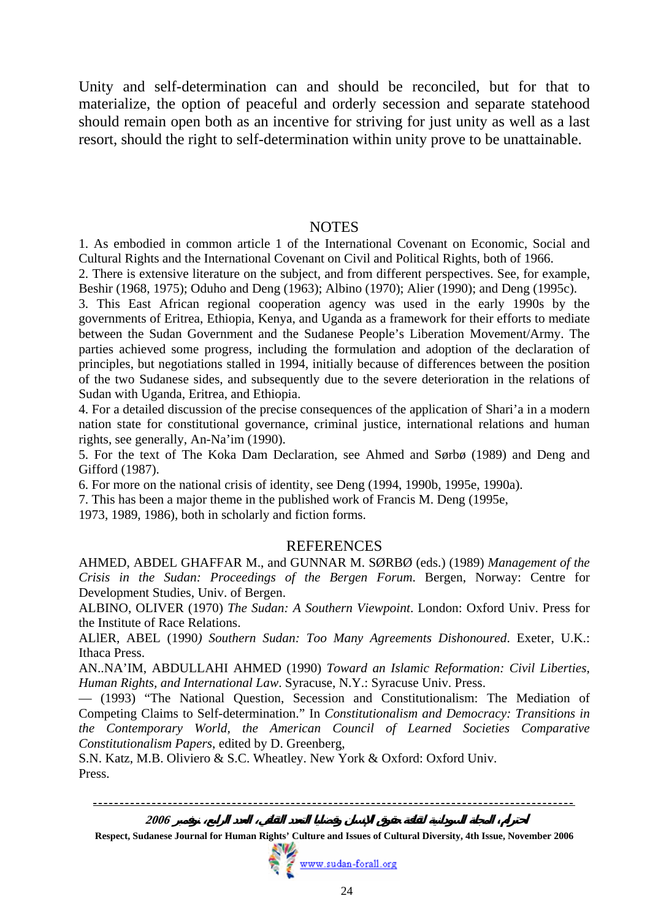Unity and self-determination can and should be reconciled, but for that to materialize, the option of peaceful and orderly secession and separate statehood should remain open both as an incentive for striving for just unity as well as a last resort, should the right to self-determination within unity prove to be unattainable.

#### **NOTES**

1. As embodied in common article 1 of the International Covenant on Economic, Social and Cultural Rights and the International Covenant on Civil and Political Rights, both of 1966.

2. There is extensive literature on the subject, and from different perspectives. See, for example, Beshir (1968, 1975); Oduho and Deng (1963); Albino (1970); Alier (1990); and Deng (1995c).

3. This East African regional cooperation agency was used in the early 1990s by the governments of Eritrea, Ethiopia, Kenya, and Uganda as a framework for their efforts to mediate between the Sudan Government and the Sudanese People's Liberation Movement/Army. The parties achieved some progress, including the formulation and adoption of the declaration of principles, but negotiations stalled in 1994, initially because of differences between the position of the two Sudanese sides, and subsequently due to the severe deterioration in the relations of Sudan with Uganda, Eritrea, and Ethiopia.

4. For a detailed discussion of the precise consequences of the application of Shari'a in a modern nation state for constitutional governance, criminal justice, international relations and human rights, see generally, An-Na'im (1990).

5. For the text of The Koka Dam Declaration, see Ahmed and Sørbø (1989) and Deng and Gifford (1987).

6. For more on the national crisis of identity, see Deng (1994, 1990b, 1995e, 1990a).

7. This has been a major theme in the published work of Francis M. Deng (1995e,

1973, 1989, 1986), both in scholarly and fiction forms.

#### **REFERENCES**

AHMED, ABDEL GHAFFAR M., and GUNNAR M. SØRBØ (eds.) (1989) *Management of the Crisis in the Sudan: Proceedings of the Bergen Forum*. Bergen, Norway: Centre for Development Studies, Univ. of Bergen.

ALBINO, OLIVER (1970) *The Sudan: A Southern Viewpoint*. London: Oxford Univ. Press for the Institute of Race Relations.

ALlER, ABEL (1990*) Southern Sudan: Too Many Agreements Dishonoured*. Exeter, U.K.: Ithaca Press.

AN..NA'IM, ABDULLAHI AHMED (1990) *Toward an Islamic Reformation: Civil Liberties, Human Rights, and International Law*. Syracuse, N.Y.: Syracuse Univ. Press.

— (1993) "The National Question, Secession and Constitutionalism: The Mediation of Competing Claims to Self-determination." In *Constitutionalism and Democracy: Transitions in the Contemporary World, the American Council of Learned Societies Comparative Constitutionalism Papers*, edited by D. Greenberg,

S.N. Katz, M.B. Oliviero & S.C. Wheatley. New York & Oxford: Oxford Univ. Press.

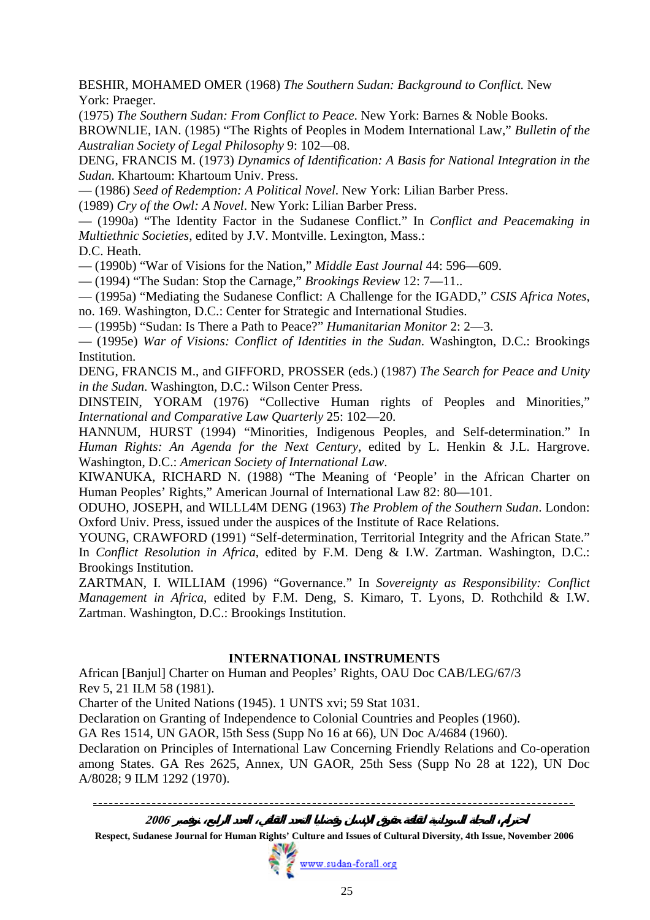BESHIR, MOHAMED OMER (1968) *The Southern Sudan: Background to Conflict.* New York: Praeger.

(1975) *The Southern Sudan: From Conflict to Peace*. New York: Barnes & Noble Books.

BROWNLIE, IAN. (1985) "The Rights of Peoples in Modem International Law," *Bulletin of the Australian Society of Legal Philosophy* 9: 102—08.

DENG, FRANCIS M. (1973) *Dynamics of Identification: A Basis for National Integration in the Sudan*. Khartoum: Khartoum Univ. Press.

— (1986) *Seed of Redemption: A Political Novel*. New York: Lilian Barber Press.

(1989) *Cry of the Owl: A Novel*. New York: Lilian Barber Press.

— (1990a) "The Identity Factor in the Sudanese Conflict." In *Conflict and Peacemaking in Multiethnic Societies*, edited by J.V. Montville. Lexington, Mass.:

D.C. Heath.

— (1990b) "War of Visions for the Nation," *Middle East Journal* 44: 596—609.

— (1994) "The Sudan: Stop the Carnage," *Brookings Review* 12: 7—11..

— (1995a) "Mediating the Sudanese Conflict: A Challenge for the IGADD," *CSIS Africa Notes*, no. 169. Washington, D.C.: Center for Strategic and International Studies.

— (1995b) "Sudan: Is There a Path to Peace?" *Humanitarian Monitor* 2: 2—3.

— (1995e) *War of Visions: Conflict of Identities in the Sudan*. Washington, D.C.: Brookings Institution.

DENG, FRANCIS M., and GIFFORD, PROSSER (eds.) (1987) *The Search for Peace and Unity in the Sudan*. Washington, D.C.: Wilson Center Press.

DINSTEIN, YORAM (1976) "Collective Human rights of Peoples and Minorities," *International and Comparative Law Quarterly* 25: 102—20.

HANNUM, HURST (1994) "Minorities, Indigenous Peoples, and Self-determination." In *Human Rights: An Agenda for the Next Century*, edited by L. Henkin & J.L. Hargrove. Washington, D.C.: *American Society of International Law*.

KIWANUKA, RICHARD N. (1988) "The Meaning of 'People' in the African Charter on Human Peoples' Rights," American Journal of International Law 82: 80—101.

ODUHO, JOSEPH, and WILLL4M DENG (1963) *The Problem of the Southern Sudan*. London: Oxford Univ. Press, issued under the auspices of the Institute of Race Relations.

YOUNG, CRAWFORD (1991) "Self-determination, Territorial Integrity and the African State." In *Conflict Resolution in Africa*, edited by F.M. Deng & I.W. Zartman. Washington, D.C.: Brookings Institution.

ZARTMAN, I. WILLIAM (1996) "Governance." In *Sovereignty as Responsibility: Conflict Management in Africa*, edited by F.M. Deng, S. Kimaro, T. Lyons, D. Rothchild & I.W. Zartman. Washington, D.C.: Brookings Institution.

#### **INTERNATIONAL INSTRUMENTS**

African [Banjul] Charter on Human and Peoples' Rights, OAU Doc CAB/LEG/67/3 Rev 5, 21 ILM 58 (1981).

Charter of the United Nations (1945). 1 UNTS xvi; 59 Stat 1031.

Declaration on Granting of Independence to Colonial Countries and Peoples (1960).

GA Res 1514, UN GAOR, l5th Sess (Supp No 16 at 66), UN Doc A/4684 (1960).

Declaration on Principles of International Law Concerning Friendly Relations and Co-operation among States. GA Res 2625, Annex, UN GAOR, 25th Sess (Supp No 28 at 122), UN Doc A/8028; 9 ILM 1292 (1970).